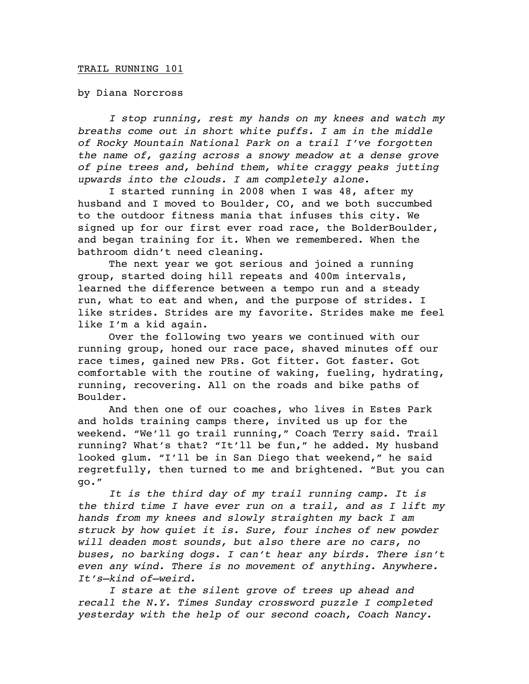## TRAIL RUNNING 101

by Diana Norcross

*I stop running, rest my hands on my knees and watch my breaths come out in short white puffs. I am in the middle of Rocky Mountain National Park on a trail I've forgotten the name of, gazing across a snowy meadow at a dense grove of pine trees and, behind them, white craggy peaks jutting upwards into the clouds. I am completely alone.*

I started running in 2008 when I was 48, after my husband and I moved to Boulder, CO, and we both succumbed to the outdoor fitness mania that infuses this city. We signed up for our first ever road race, the BolderBoulder, and began training for it. When we remembered. When the bathroom didn't need cleaning.

The next year we got serious and joined a running group, started doing hill repeats and 400m intervals, learned the difference between a tempo run and a steady run, what to eat and when, and the purpose of strides. I like strides. Strides are my favorite. Strides make me feel like I'm a kid again.

Over the following two years we continued with our running group, honed our race pace, shaved minutes off our race times, gained new PRs. Got fitter. Got faster. Got comfortable with the routine of waking, fueling, hydrating, running, recovering. All on the roads and bike paths of Boulder.

And then one of our coaches, who lives in Estes Park and holds training camps there, invited us up for the weekend. "We'll go trail running," Coach Terry said. Trail running? What's that? "It'll be fun," he added. My husband looked glum. "I'll be in San Diego that weekend," he said regretfully, then turned to me and brightened. "But you can go."

*It is the third day of my trail running camp. It is the third time I have ever run on a trail, and as I lift my hands from my knees and slowly straighten my back I am struck by how quiet it is. Sure, four inches of new powder will deaden most sounds, but also there are no cars, no buses, no barking dogs. I can't hear any birds. There isn't even any wind. There is no movement of anything. Anywhere. It's—kind of—weird.* 

*I stare at the silent grove of trees up ahead and recall the N.Y. Times Sunday crossword puzzle I completed yesterday with the help of our second coach, Coach Nancy.*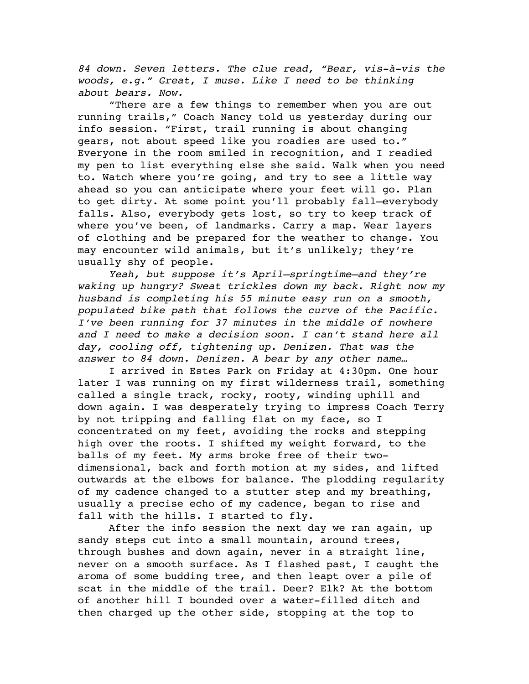*84 down. Seven letters. The clue read, "Bear, vis-à-vis the woods, e.g." Great*, *I muse. Like I need to be thinking about bears. Now.*

"There are a few things to remember when you are out running trails," Coach Nancy told us yesterday during our info session. "First, trail running is about changing gears, not about speed like you roadies are used to." Everyone in the room smiled in recognition, and I readied my pen to list everything else she said. Walk when you need to. Watch where you're going, and try to see a little way ahead so you can anticipate where your feet will go. Plan to get dirty. At some point you'll probably fall—everybody falls. Also, everybody gets lost, so try to keep track of where you've been, of landmarks. Carry a map. Wear layers of clothing and be prepared for the weather to change. You may encounter wild animals, but it's unlikely; they're usually shy of people.

*Yeah, but suppose it's April—springtime—and they're waking up hungry? Sweat trickles down my back. Right now my husband is completing his 55 minute easy run on a smooth, populated bike path that follows the curve of the Pacific. I've been running for 37 minutes in the middle of nowhere and I need to make a decision soon. I can't stand here all day, cooling off, tightening up. Denizen. That was the answer to 84 down. Denizen. A bear by any other name…*

I arrived in Estes Park on Friday at 4:30pm. One hour later I was running on my first wilderness trail, something called a single track, rocky, rooty, winding uphill and down again. I was desperately trying to impress Coach Terry by not tripping and falling flat on my face, so I concentrated on my feet, avoiding the rocks and stepping high over the roots. I shifted my weight forward, to the balls of my feet. My arms broke free of their twodimensional, back and forth motion at my sides, and lifted outwards at the elbows for balance. The plodding regularity of my cadence changed to a stutter step and my breathing, usually a precise echo of my cadence, began to rise and fall with the hills. I started to fly.

After the info session the next day we ran again, up sandy steps cut into a small mountain, around trees, through bushes and down again, never in a straight line, never on a smooth surface. As I flashed past, I caught the aroma of some budding tree, and then leapt over a pile of scat in the middle of the trail. Deer? Elk? At the bottom of another hill I bounded over a water-filled ditch and then charged up the other side, stopping at the top to